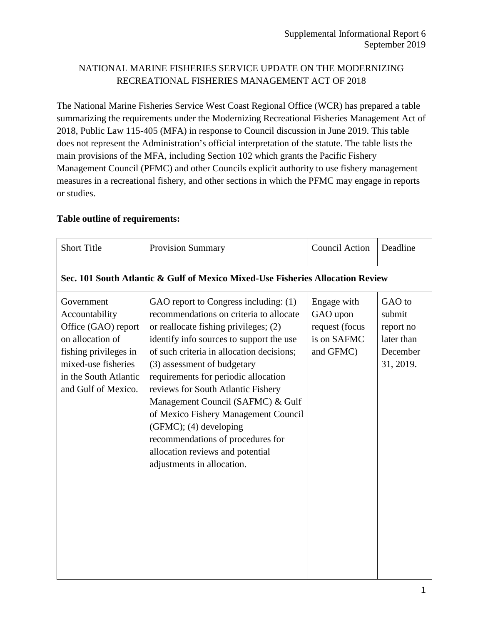### NATIONAL MARINE FISHERIES SERVICE UPDATE ON THE MODERNIZING RECREATIONAL FISHERIES MANAGEMENT ACT OF 2018

The National Marine Fisheries Service West Coast Regional Office (WCR) has prepared a table summarizing the requirements under the Modernizing Recreational Fisheries Management Act of 2018, Public Law 115-405 (MFA) in response to Council discussion in June 2019. This table does not represent the Administration's official interpretation of the statute. The table lists the main provisions of the MFA, including Section 102 which grants the Pacific Fishery Management Council (PFMC) and other Councils explicit authority to use fishery management measures in a recreational fishery, and other sections in which the PFMC may engage in reports or studies.

#### **Table outline of requirements:**

| <b>Short Title</b>                                                                                                                                                      | <b>Provision Summary</b>                                                                                                                                                                                                                                                                                                                                                                                                                                                                                                                      | <b>Council Action</b>                                                 | Deadline                                                             |
|-------------------------------------------------------------------------------------------------------------------------------------------------------------------------|-----------------------------------------------------------------------------------------------------------------------------------------------------------------------------------------------------------------------------------------------------------------------------------------------------------------------------------------------------------------------------------------------------------------------------------------------------------------------------------------------------------------------------------------------|-----------------------------------------------------------------------|----------------------------------------------------------------------|
| Sec. 101 South Atlantic & Gulf of Mexico Mixed-Use Fisheries Allocation Review                                                                                          |                                                                                                                                                                                                                                                                                                                                                                                                                                                                                                                                               |                                                                       |                                                                      |
| Government<br>Accountability<br>Office (GAO) report<br>on allocation of<br>fishing privileges in<br>mixed-use fisheries<br>in the South Atlantic<br>and Gulf of Mexico. | GAO report to Congress including: (1)<br>recommendations on criteria to allocate<br>or reallocate fishing privileges; (2)<br>identify info sources to support the use<br>of such criteria in allocation decisions;<br>(3) assessment of budgetary<br>requirements for periodic allocation<br>reviews for South Atlantic Fishery<br>Management Council (SAFMC) & Gulf<br>of Mexico Fishery Management Council<br>(GFMC); (4) developing<br>recommendations of procedures for<br>allocation reviews and potential<br>adjustments in allocation. | Engage with<br>GAO upon<br>request (focus<br>is on SAFMC<br>and GFMC) | GAO to<br>submit<br>report no<br>later than<br>December<br>31, 2019. |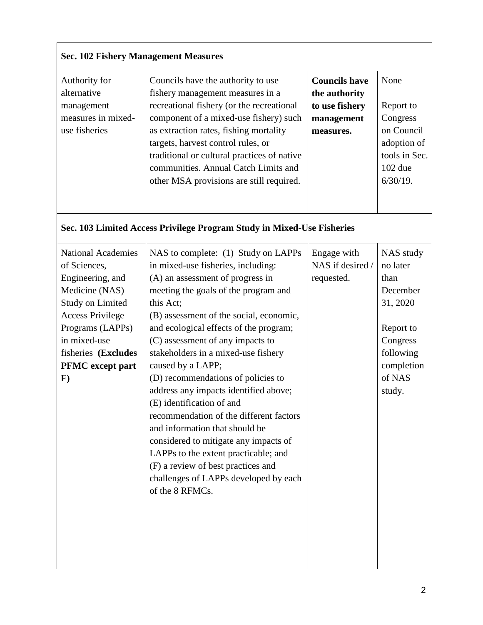### **Sec. 102 Fishery Management Measures**

| Authority for      | Councils have the authority to use          | <b>Councils have</b> | None          |
|--------------------|---------------------------------------------|----------------------|---------------|
| alternative        | fishery management measures in a            | the authority        |               |
| management         | recreational fishery (or the recreational   | to use fishery       | Report to     |
| measures in mixed- | component of a mixed-use fishery) such      | management           | Congress      |
| use fisheries      | as extraction rates, fishing mortality      | measures.            | on Council    |
|                    | targets, harvest control rules, or          |                      | adoption of   |
|                    | traditional or cultural practices of native |                      | tools in Sec. |
|                    | communities. Annual Catch Limits and        |                      | $102$ due     |
|                    | other MSA provisions are still required.    |                      | $6/30/19$ .   |
|                    |                                             |                      |               |
|                    |                                             |                      |               |

# **Sec. 103 Limited Access Privilege Program Study in Mixed-Use Fisheries**

| <b>National Academies</b> | NAS to complete: (1) Study on LAPPs     | Engage with      | NAS study  |
|---------------------------|-----------------------------------------|------------------|------------|
| of Sciences,              | in mixed-use fisheries, including:      | NAS if desired / | no later   |
| Engineering, and          | (A) an assessment of progress in        | requested.       | than       |
| Medicine (NAS)            | meeting the goals of the program and    |                  | December   |
| <b>Study on Limited</b>   | this Act;                               |                  | 31, 2020   |
| <b>Access Privilege</b>   | (B) assessment of the social, economic, |                  |            |
| Programs (LAPPs)          | and ecological effects of the program;  |                  | Report to  |
| in mixed-use              | (C) assessment of any impacts to        |                  | Congress   |
| fisheries (Excludes       | stakeholders in a mixed-use fishery     |                  | following  |
| <b>PFMC</b> except part   | caused by a LAPP;                       |                  | completion |
| $\mathbf{F}$              | (D) recommendations of policies to      |                  | of NAS     |
|                           | address any impacts identified above;   |                  | study.     |
|                           | (E) identification of and               |                  |            |
|                           | recommendation of the different factors |                  |            |
|                           | and information that should be          |                  |            |
|                           | considered to mitigate any impacts of   |                  |            |
|                           | LAPPs to the extent practicable; and    |                  |            |
|                           | (F) a review of best practices and      |                  |            |
|                           | challenges of LAPPs developed by each   |                  |            |
|                           | of the 8 RFMCs.                         |                  |            |
|                           |                                         |                  |            |
|                           |                                         |                  |            |
|                           |                                         |                  |            |
|                           |                                         |                  |            |
|                           |                                         |                  |            |
|                           |                                         |                  |            |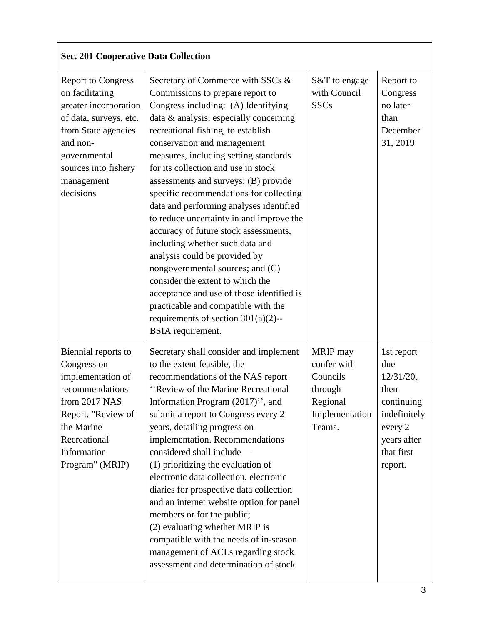# **Sec. 201 Cooperative Data Collection**

| <b>Report to Congress</b><br>on facilitating<br>greater incorporation<br>of data, surveys, etc.<br>from State agencies<br>and non-<br>governmental<br>sources into fishery<br>management<br>decisions | Secretary of Commerce with SSCs &<br>Commissions to prepare report to<br>Congress including: (A) Identifying<br>data & analysis, especially concerning<br>recreational fishing, to establish<br>conservation and management<br>measures, including setting standards<br>for its collection and use in stock<br>assessments and surveys; (B) provide<br>specific recommendations for collecting<br>data and performing analyses identified<br>to reduce uncertainty in and improve the<br>accuracy of future stock assessments,<br>including whether such data and<br>analysis could be provided by<br>nongovernmental sources; and (C)<br>consider the extent to which the<br>acceptance and use of those identified is<br>practicable and compatible with the<br>requirements of section $301(a)(2)$ --<br>BSIA requirement. | S&T to engage<br>with Council<br><b>SSCs</b>                                           | Report to<br>Congress<br>no later<br>than<br>December<br>31, 2019                                                       |
|-------------------------------------------------------------------------------------------------------------------------------------------------------------------------------------------------------|-------------------------------------------------------------------------------------------------------------------------------------------------------------------------------------------------------------------------------------------------------------------------------------------------------------------------------------------------------------------------------------------------------------------------------------------------------------------------------------------------------------------------------------------------------------------------------------------------------------------------------------------------------------------------------------------------------------------------------------------------------------------------------------------------------------------------------|----------------------------------------------------------------------------------------|-------------------------------------------------------------------------------------------------------------------------|
| Biennial reports to<br>Congress on<br>implementation of<br>recommendations<br>from 2017 NAS<br>Report, "Review of<br>the Marine<br>Recreational<br>Information<br>Program" (MRIP)                     | Secretary shall consider and implement<br>to the extent feasible, the<br>recommendations of the NAS report<br>"Review of the Marine Recreational<br>Information Program (2017)", and<br>submit a report to Congress every 2<br>years, detailing progress on<br>implementation. Recommendations<br>considered shall include-<br>$(1)$ prioritizing the evaluation of<br>electronic data collection, electronic<br>diaries for prospective data collection<br>and an internet website option for panel<br>members or for the public;<br>(2) evaluating whether MRIP is<br>compatible with the needs of in-season<br>management of ACLs regarding stock<br>assessment and determination of stock                                                                                                                                 | MRIP may<br>confer with<br>Councils<br>through<br>Regional<br>Implementation<br>Teams. | 1st report<br>due<br>12/31/20,<br>then<br>continuing<br>indefinitely<br>every 2<br>years after<br>that first<br>report. |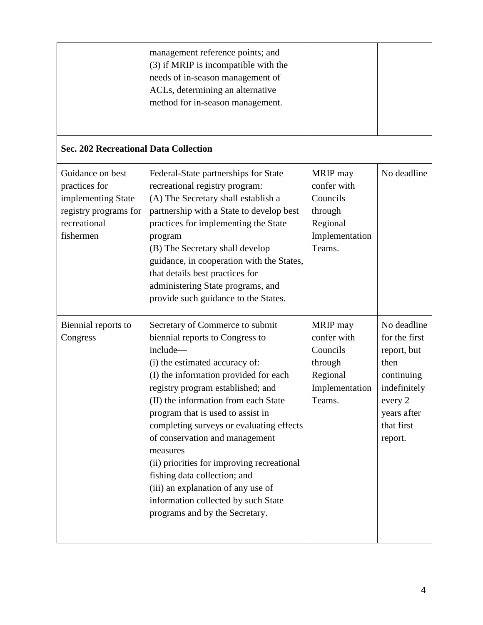|                                                                                                               | management reference points; and<br>(3) if MRIP is incompatible with the<br>needs of in-season management of<br>ACLs, determining an alternative<br>method for in-season management.                                                                                                                                                                                                                                                                                                                                                                               |                                                                                        |                                                                                                                                      |
|---------------------------------------------------------------------------------------------------------------|--------------------------------------------------------------------------------------------------------------------------------------------------------------------------------------------------------------------------------------------------------------------------------------------------------------------------------------------------------------------------------------------------------------------------------------------------------------------------------------------------------------------------------------------------------------------|----------------------------------------------------------------------------------------|--------------------------------------------------------------------------------------------------------------------------------------|
| <b>Sec. 202 Recreational Data Collection</b>                                                                  |                                                                                                                                                                                                                                                                                                                                                                                                                                                                                                                                                                    |                                                                                        |                                                                                                                                      |
| Guidance on best<br>practices for<br>implementing State<br>registry programs for<br>recreational<br>fishermen | Federal-State partnerships for State<br>recreational registry program:<br>(A) The Secretary shall establish a<br>partnership with a State to develop best<br>practices for implementing the State<br>program<br>(B) The Secretary shall develop<br>guidance, in cooperation with the States,<br>that details best practices for<br>administering State programs, and<br>provide such guidance to the States.                                                                                                                                                       | MRIP may<br>confer with<br>Councils<br>through<br>Regional<br>Implementation<br>Teams. | No deadline                                                                                                                          |
| Biennial reports to<br>Congress                                                                               | Secretary of Commerce to submit<br>biennial reports to Congress to<br>include-<br>(i) the estimated accuracy of:<br>(I) the information provided for each<br>registry program established; and<br>(II) the information from each State<br>program that is used to assist in<br>completing surveys or evaluating effects<br>of conservation and management<br>measures<br>(ii) priorities for improving recreational<br>fishing data collection; and<br>(iii) an explanation of any use of<br>information collected by such State<br>programs and by the Secretary. | MRIP may<br>confer with<br>Councils<br>through<br>Regional<br>Implementation<br>Teams. | No deadline<br>for the first<br>report, but<br>then<br>continuing<br>indefinitely<br>every 2<br>years after<br>that first<br>report. |